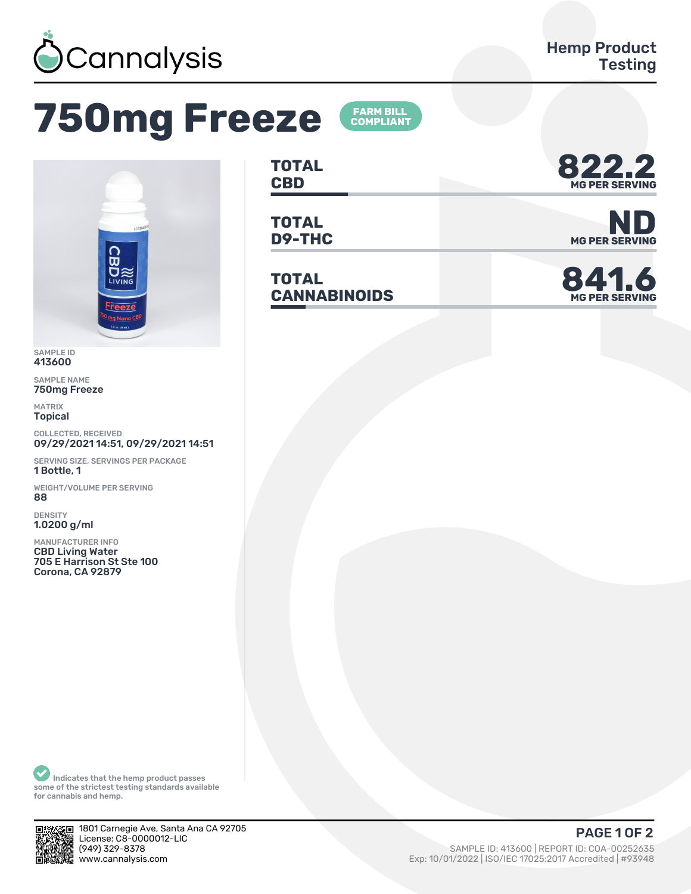

## **750mg Freeze**



SAMPLE ID 413600

SAMPLE NAME 750mg Freeze

MATRIX Topical

COLLECTED, RECEIVED 09/29/2021 14:51, 09/29/2021 14:51

SERVING SIZE, SERVINGS PER PACKAGE 1 Bottle, 1

WEIGHT/VOLUME PER SERVING ȄȄ

DENSITY 1.0200 g/ml

MANUFACTURER INFO CBD Living Water 705 E Harrison St Ste 100 Corona, CA 92879

**TOTAL** TOTAL **822.2** 

**FARM BILL<br>COMPLIANT** 

**TOTAL**

**TOTAL CANNABINOIDS 841.6**



**D9-THC** MG PER SERVING



Indicates that the hemp product passes some of the strictest testing standards available for cannabis and hemp.



1801 Carnegie Ave, Santa Ana CA 92705 License: C8-0000012-LIC<br>(949) 329-8378